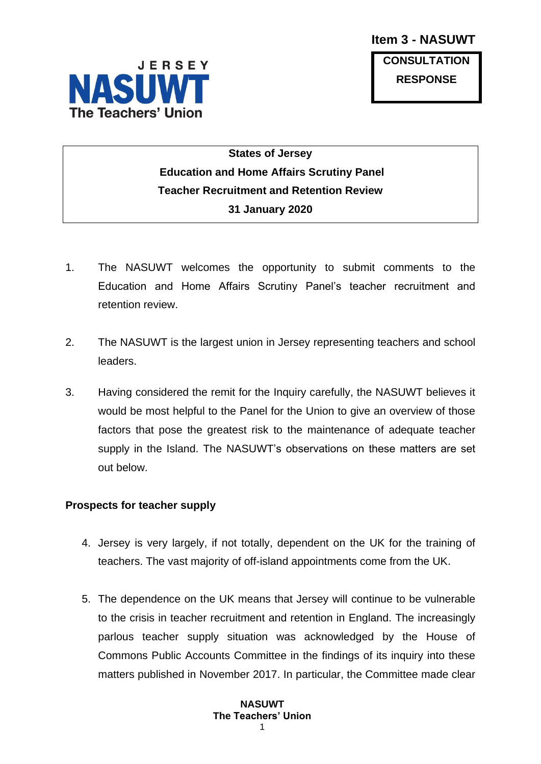

**CONSULTATION RESPONSE**

# **States of Jersey Education and Home Affairs Scrutiny Panel Teacher Recruitment and Retention Review 31 January 2020**

- 1. The NASUWT welcomes the opportunity to submit comments to the Education and Home Affairs Scrutiny Panel's teacher recruitment and retention review.
- 2. The NASUWT is the largest union in Jersey representing teachers and school leaders.
- 3. Having considered the remit for the Inquiry carefully, the NASUWT believes it would be most helpful to the Panel for the Union to give an overview of those factors that pose the greatest risk to the maintenance of adequate teacher supply in the Island. The NASUWT's observations on these matters are set out below.

### **Prospects for teacher supply**

- 4. Jersey is very largely, if not totally, dependent on the UK for the training of teachers. The vast majority of off-island appointments come from the UK.
- 5. The dependence on the UK means that Jersey will continue to be vulnerable to the crisis in teacher recruitment and retention in England. The increasingly parlous teacher supply situation was acknowledged by the House of Commons Public Accounts Committee in the findings of its inquiry into these matters published in November 2017. In particular, the Committee made clear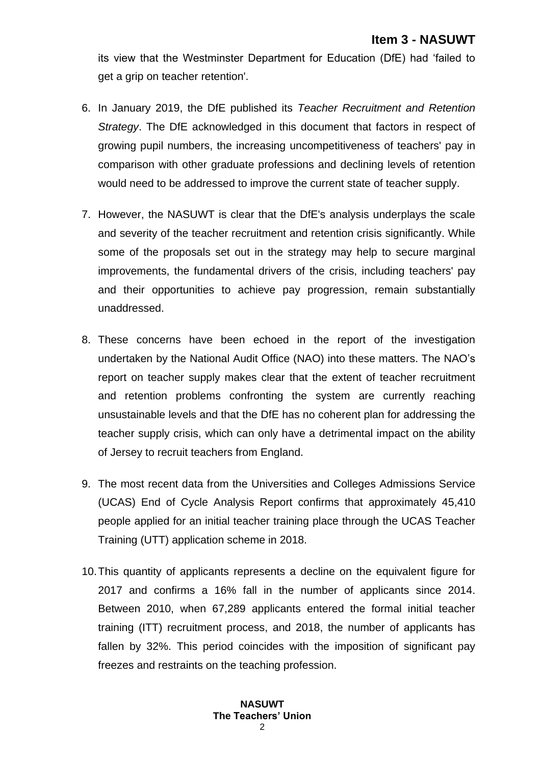its view that the Westminster Department for Education (DfE) had 'failed to get a grip on teacher retention'.

- 6. In January 2019, the DfE published its *Teacher Recruitment and Retention Strategy*. The DfE acknowledged in this document that factors in respect of growing pupil numbers, the increasing uncompetitiveness of teachers' pay in comparison with other graduate professions and declining levels of retention would need to be addressed to improve the current state of teacher supply.
- 7. However, the NASUWT is clear that the DfE's analysis underplays the scale and severity of the teacher recruitment and retention crisis significantly. While some of the proposals set out in the strategy may help to secure marginal improvements, the fundamental drivers of the crisis, including teachers' pay and their opportunities to achieve pay progression, remain substantially unaddressed.
- 8. These concerns have been echoed in the report of the investigation undertaken by the National Audit Office (NAO) into these matters. The NAO's report on teacher supply makes clear that the extent of teacher recruitment and retention problems confronting the system are currently reaching unsustainable levels and that the DfE has no coherent plan for addressing the teacher supply crisis, which can only have a detrimental impact on the ability of Jersey to recruit teachers from England.
- 9. The most recent data from the Universities and Colleges Admissions Service (UCAS) End of Cycle Analysis Report confirms that approximately 45,410 people applied for an initial teacher training place through the UCAS Teacher Training (UTT) application scheme in 2018.
- 10.This quantity of applicants represents a decline on the equivalent figure for 2017 and confirms a 16% fall in the number of applicants since 2014. Between 2010, when 67,289 applicants entered the formal initial teacher training (ITT) recruitment process, and 2018, the number of applicants has fallen by 32%. This period coincides with the imposition of significant pay freezes and restraints on the teaching profession.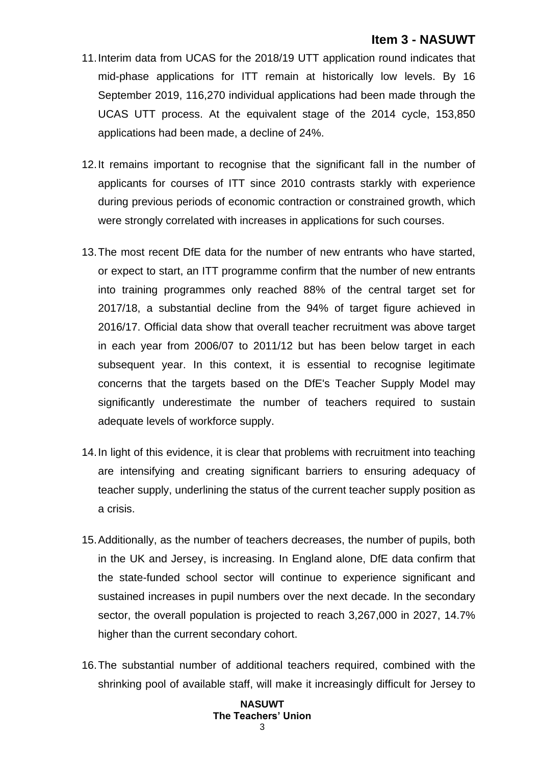- 11.Interim data from UCAS for the 2018/19 UTT application round indicates that mid-phase applications for ITT remain at historically low levels. By 16 September 2019, 116,270 individual applications had been made through the UCAS UTT process. At the equivalent stage of the 2014 cycle, 153,850 applications had been made, a decline of 24%.
- 12.It remains important to recognise that the significant fall in the number of applicants for courses of ITT since 2010 contrasts starkly with experience during previous periods of economic contraction or constrained growth, which were strongly correlated with increases in applications for such courses.
- 13.The most recent DfE data for the number of new entrants who have started, or expect to start, an ITT programme confirm that the number of new entrants into training programmes only reached 88% of the central target set for 2017/18, a substantial decline from the 94% of target figure achieved in 2016/17. Official data show that overall teacher recruitment was above target in each year from 2006/07 to 2011/12 but has been below target in each subsequent year. In this context, it is essential to recognise legitimate concerns that the targets based on the DfE's Teacher Supply Model may significantly underestimate the number of teachers required to sustain adequate levels of workforce supply.
- 14.In light of this evidence, it is clear that problems with recruitment into teaching are intensifying and creating significant barriers to ensuring adequacy of teacher supply, underlining the status of the current teacher supply position as a crisis.
- 15.Additionally, as the number of teachers decreases, the number of pupils, both in the UK and Jersey, is increasing. In England alone, DfE data confirm that the state-funded school sector will continue to experience significant and sustained increases in pupil numbers over the next decade. In the secondary sector, the overall population is projected to reach 3,267,000 in 2027, 14.7% higher than the current secondary cohort.
- 16.The substantial number of additional teachers required, combined with the shrinking pool of available staff, will make it increasingly difficult for Jersey to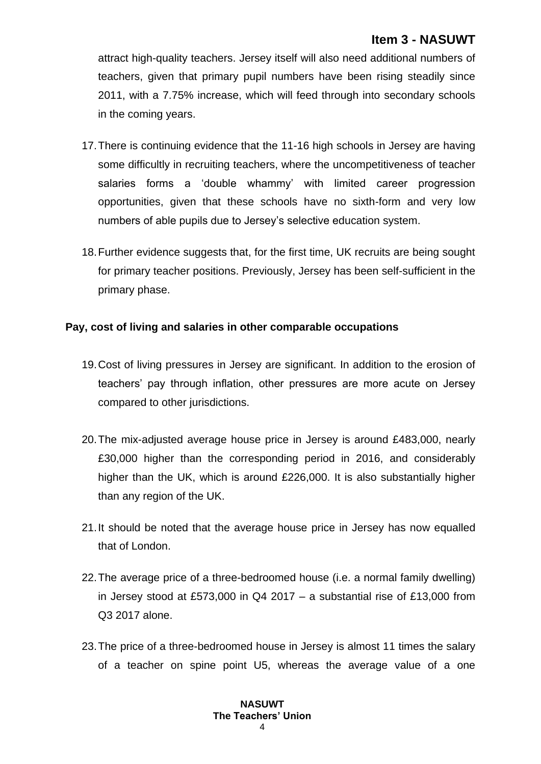attract high-quality teachers. Jersey itself will also need additional numbers of teachers, given that primary pupil numbers have been rising steadily since 2011, with a 7.75% increase, which will feed through into secondary schools in the coming years.

- 17.There is continuing evidence that the 11-16 high schools in Jersey are having some difficultly in recruiting teachers, where the uncompetitiveness of teacher salaries forms a 'double whammy' with limited career progression opportunities, given that these schools have no sixth-form and very low numbers of able pupils due to Jersey's selective education system.
- 18.Further evidence suggests that, for the first time, UK recruits are being sought for primary teacher positions. Previously, Jersey has been self-sufficient in the primary phase.

### **Pay, cost of living and salaries in other comparable occupations**

- 19.Cost of living pressures in Jersey are significant. In addition to the erosion of teachers' pay through inflation, other pressures are more acute on Jersey compared to other jurisdictions.
- 20.The mix-adjusted average house price in Jersey is around £483,000, nearly £30,000 higher than the corresponding period in 2016, and considerably higher than the UK, which is around £226,000. It is also substantially higher than any region of the UK.
- 21.It should be noted that the average house price in Jersey has now equalled that of London.
- 22.The average price of a three-bedroomed house (i.e. a normal family dwelling) in Jersey stood at £573,000 in Q4 2017 – a substantial rise of £13,000 from Q3 2017 alone.
- 23.The price of a three-bedroomed house in Jersey is almost 11 times the salary of a teacher on spine point U5, whereas the average value of a one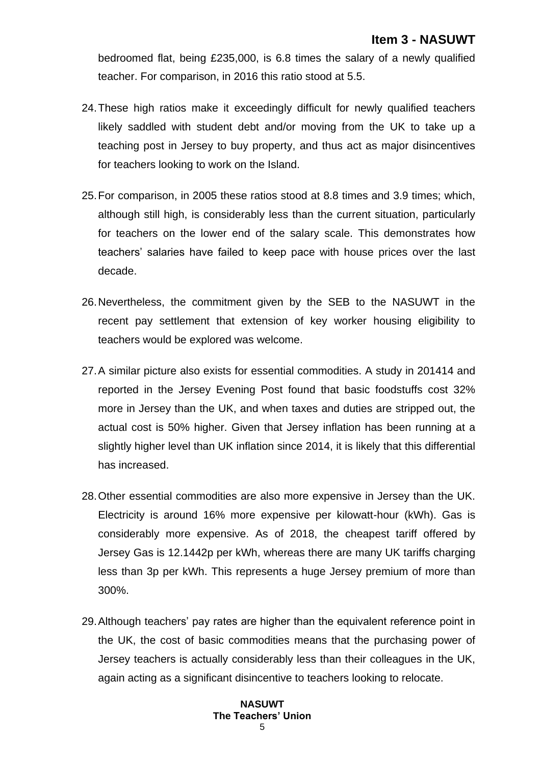bedroomed flat, being £235,000, is 6.8 times the salary of a newly qualified teacher. For comparison, in 2016 this ratio stood at 5.5.

- 24.These high ratios make it exceedingly difficult for newly qualified teachers likely saddled with student debt and/or moving from the UK to take up a teaching post in Jersey to buy property, and thus act as major disincentives for teachers looking to work on the Island.
- 25.For comparison, in 2005 these ratios stood at 8.8 times and 3.9 times; which, although still high, is considerably less than the current situation, particularly for teachers on the lower end of the salary scale. This demonstrates how teachers' salaries have failed to keep pace with house prices over the last decade.
- 26.Nevertheless, the commitment given by the SEB to the NASUWT in the recent pay settlement that extension of key worker housing eligibility to teachers would be explored was welcome.
- 27.A similar picture also exists for essential commodities. A study in 201414 and reported in the Jersey Evening Post found that basic foodstuffs cost 32% more in Jersey than the UK, and when taxes and duties are stripped out, the actual cost is 50% higher. Given that Jersey inflation has been running at a slightly higher level than UK inflation since 2014, it is likely that this differential has increased.
- 28.Other essential commodities are also more expensive in Jersey than the UK. Electricity is around 16% more expensive per kilowatt-hour (kWh). Gas is considerably more expensive. As of 2018, the cheapest tariff offered by Jersey Gas is 12.1442p per kWh, whereas there are many UK tariffs charging less than 3p per kWh. This represents a huge Jersey premium of more than 300%.
- 29.Although teachers' pay rates are higher than the equivalent reference point in the UK, the cost of basic commodities means that the purchasing power of Jersey teachers is actually considerably less than their colleagues in the UK, again acting as a significant disincentive to teachers looking to relocate.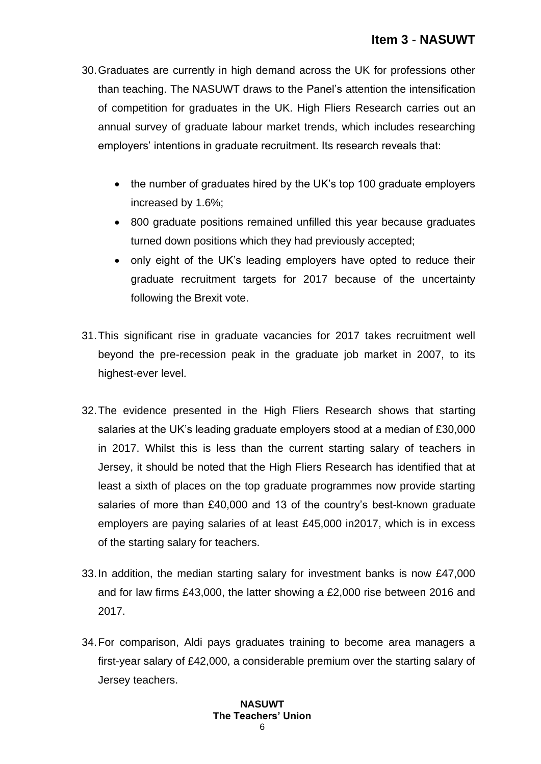- 30.Graduates are currently in high demand across the UK for professions other than teaching. The NASUWT draws to the Panel's attention the intensification of competition for graduates in the UK. High Fliers Research carries out an annual survey of graduate labour market trends, which includes researching employers' intentions in graduate recruitment. Its research reveals that:
	- the number of graduates hired by the UK's top 100 graduate employers increased by 1.6%;
	- 800 graduate positions remained unfilled this year because graduates turned down positions which they had previously accepted;
	- only eight of the UK's leading employers have opted to reduce their graduate recruitment targets for 2017 because of the uncertainty following the Brexit vote.
- 31.This significant rise in graduate vacancies for 2017 takes recruitment well beyond the pre-recession peak in the graduate job market in 2007, to its highest-ever level.
- 32.The evidence presented in the High Fliers Research shows that starting salaries at the UK's leading graduate employers stood at a median of £30,000 in 2017. Whilst this is less than the current starting salary of teachers in Jersey, it should be noted that the High Fliers Research has identified that at least a sixth of places on the top graduate programmes now provide starting salaries of more than £40,000 and 13 of the country's best-known graduate employers are paying salaries of at least £45,000 in2017, which is in excess of the starting salary for teachers.
- 33.In addition, the median starting salary for investment banks is now £47,000 and for law firms £43,000, the latter showing a £2,000 rise between 2016 and 2017.
- 34.For comparison, Aldi pays graduates training to become area managers a first-year salary of £42,000, a considerable premium over the starting salary of Jersey teachers.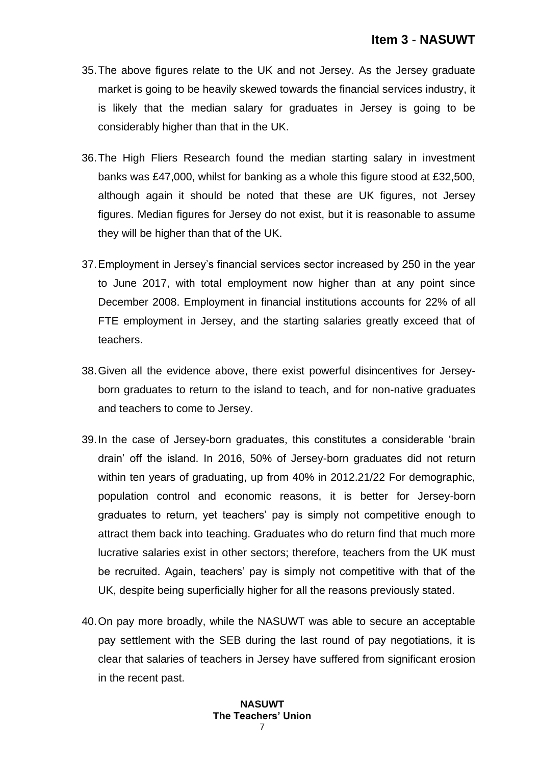- 35.The above figures relate to the UK and not Jersey. As the Jersey graduate market is going to be heavily skewed towards the financial services industry, it is likely that the median salary for graduates in Jersey is going to be considerably higher than that in the UK.
- 36.The High Fliers Research found the median starting salary in investment banks was £47,000, whilst for banking as a whole this figure stood at £32,500, although again it should be noted that these are UK figures, not Jersey figures. Median figures for Jersey do not exist, but it is reasonable to assume they will be higher than that of the UK.
- 37.Employment in Jersey's financial services sector increased by 250 in the year to June 2017, with total employment now higher than at any point since December 2008. Employment in financial institutions accounts for 22% of all FTE employment in Jersey, and the starting salaries greatly exceed that of teachers.
- 38.Given all the evidence above, there exist powerful disincentives for Jerseyborn graduates to return to the island to teach, and for non-native graduates and teachers to come to Jersey.
- 39.In the case of Jersey-born graduates, this constitutes a considerable 'brain drain' off the island. In 2016, 50% of Jersey-born graduates did not return within ten years of graduating, up from 40% in 2012.21/22 For demographic, population control and economic reasons, it is better for Jersey-born graduates to return, yet teachers' pay is simply not competitive enough to attract them back into teaching. Graduates who do return find that much more lucrative salaries exist in other sectors; therefore, teachers from the UK must be recruited. Again, teachers' pay is simply not competitive with that of the UK, despite being superficially higher for all the reasons previously stated.
- 40.On pay more broadly, while the NASUWT was able to secure an acceptable pay settlement with the SEB during the last round of pay negotiations, it is clear that salaries of teachers in Jersey have suffered from significant erosion in the recent past.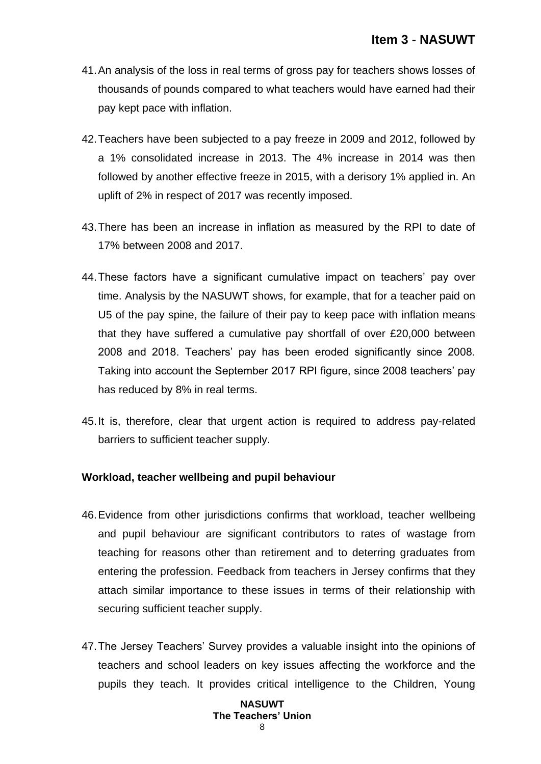- 41.An analysis of the loss in real terms of gross pay for teachers shows losses of thousands of pounds compared to what teachers would have earned had their pay kept pace with inflation.
- 42.Teachers have been subjected to a pay freeze in 2009 and 2012, followed by a 1% consolidated increase in 2013. The 4% increase in 2014 was then followed by another effective freeze in 2015, with a derisory 1% applied in. An uplift of 2% in respect of 2017 was recently imposed.
- 43.There has been an increase in inflation as measured by the RPI to date of 17% between 2008 and 2017.
- 44.These factors have a significant cumulative impact on teachers' pay over time. Analysis by the NASUWT shows, for example, that for a teacher paid on U5 of the pay spine, the failure of their pay to keep pace with inflation means that they have suffered a cumulative pay shortfall of over £20,000 between 2008 and 2018. Teachers' pay has been eroded significantly since 2008. Taking into account the September 2017 RPI figure, since 2008 teachers' pay has reduced by 8% in real terms.
- 45.It is, therefore, clear that urgent action is required to address pay-related barriers to sufficient teacher supply.

### **Workload, teacher wellbeing and pupil behaviour**

- 46.Evidence from other jurisdictions confirms that workload, teacher wellbeing and pupil behaviour are significant contributors to rates of wastage from teaching for reasons other than retirement and to deterring graduates from entering the profession. Feedback from teachers in Jersey confirms that they attach similar importance to these issues in terms of their relationship with securing sufficient teacher supply.
- 47.The Jersey Teachers' Survey provides a valuable insight into the opinions of teachers and school leaders on key issues affecting the workforce and the pupils they teach. It provides critical intelligence to the Children, Young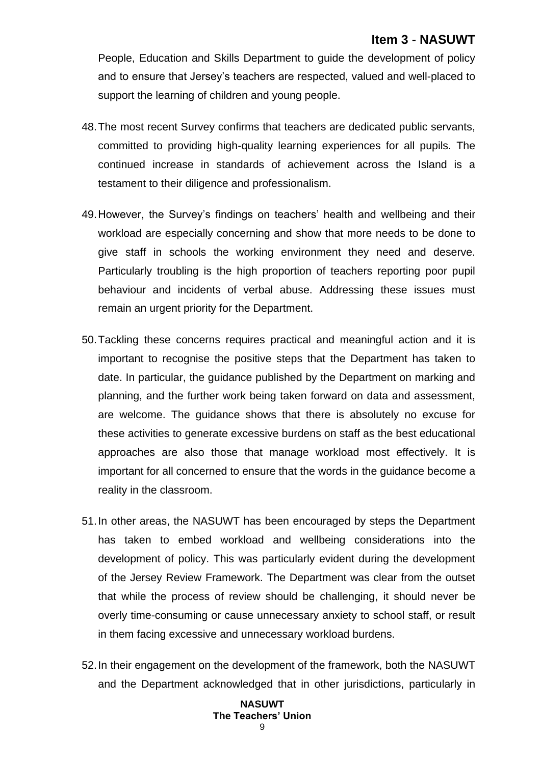People, Education and Skills Department to guide the development of policy and to ensure that Jersey's teachers are respected, valued and well-placed to support the learning of children and young people.

- 48.The most recent Survey confirms that teachers are dedicated public servants, committed to providing high-quality learning experiences for all pupils. The continued increase in standards of achievement across the Island is a testament to their diligence and professionalism.
- 49.However, the Survey's findings on teachers' health and wellbeing and their workload are especially concerning and show that more needs to be done to give staff in schools the working environment they need and deserve. Particularly troubling is the high proportion of teachers reporting poor pupil behaviour and incidents of verbal abuse. Addressing these issues must remain an urgent priority for the Department.
- 50.Tackling these concerns requires practical and meaningful action and it is important to recognise the positive steps that the Department has taken to date. In particular, the guidance published by the Department on marking and planning, and the further work being taken forward on data and assessment, are welcome. The guidance shows that there is absolutely no excuse for these activities to generate excessive burdens on staff as the best educational approaches are also those that manage workload most effectively. It is important for all concerned to ensure that the words in the guidance become a reality in the classroom.
- 51.In other areas, the NASUWT has been encouraged by steps the Department has taken to embed workload and wellbeing considerations into the development of policy. This was particularly evident during the development of the Jersey Review Framework. The Department was clear from the outset that while the process of review should be challenging, it should never be overly time-consuming or cause unnecessary anxiety to school staff, or result in them facing excessive and unnecessary workload burdens.
- 52.In their engagement on the development of the framework, both the NASUWT and the Department acknowledged that in other jurisdictions, particularly in